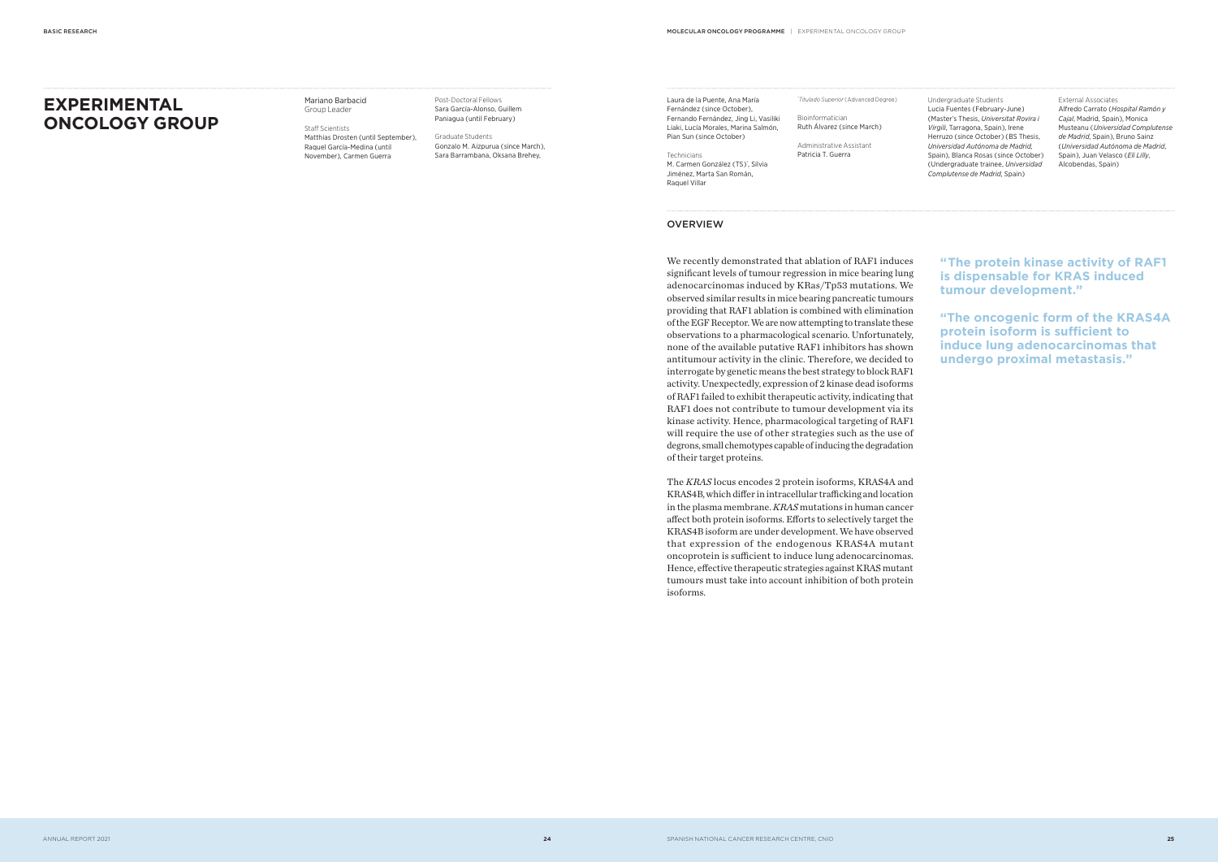We recently demonstrated that ablation of RAF1 induces significant levels of tumour regression in mice bearing lung adenocarcinomas induced by KRas/Tp53 mutations. We observed similar results in mice bearing pancreatic tumours providing that RAF1 ablation is combined with elimination of the EGF Receptor. We are now attempting to translate these observations to a pharmacological scenario. Unfortunately, none of the available putative RAF1 inhibitors has shown antitumour activity in the clinic. Therefore, we decided to interrogate by genetic means the best strategy to block RAF1 activity. Unexpectedly, expression of 2 kinase dead isoforms of RAF1 failed to exhibit therapeutic activity, indicating that RAF1 does not contribute to tumour development via its kinase activity. Hence, pharmacological targeting of RAF1 will require the use of other strategies such as the use of degrons, small chemotypes capable of inducing the degradation of their target proteins.

Post-Doctoral Fellows Sara García-Alonso, Guillem Paniagua (until February)

Laura de la Puente, Ana María Fernández (since October), Fernando Fernández, Jing Li, Vasiliki Liaki, Lucía Morales, Marina Salmón, Pian Sun (since October)

The *KRAS* locus encodes 2 protein isoforms, KRAS4A and KRAS4B, which differ in intracellular trafficking and location in the plasma membrane. *KRAS* mutations in human cancer affect both protein isoforms. Efforts to selectively target the KRAS4B isoform are under development. We have observed that expression of the endogenous KRAS4A mutant oncoprotein is sufficient to induce lung adenocarcinomas. Hence, effective therapeutic strategies against KRAS mutant tumours must take into account inhibition of both protein isoforms.

**" The protein kinase activity of RAF1 is dispensable for KRAS induced tumour development."**

**"The oncogenic form of the KRAS4A protein isoform is sufficient to induce lung adenocarcinomas that undergo proximal metastasis."**

# **EXPERIMENTAL ONCOLOGY GROUP**

Mariano Barbacid Group Leader

Staff Scientists Matthias Drosten (until September), Raquel García-Medina (until November ), Carmen Guerra

Graduate Students Gonzalo M. Aizpurua (since March), Sara Barrambana, Oksana Brehey,

Technicians M. Carmen González (TS)\*, Silvia Jiménez, Marta San Román, Raquel Villar

# **OVERVIEW**

*\* Titulado Superior* ( Advanced Degree ) Bioinformatician Ruth Álvarez ( since March )

Administrative Assistant Patricia T. Guerra

Undergraduate Students Lucia Fuentes (February-June) ( Master's Thesis, *Universitat Rovira i Virgili*, Tarragona, Spain ), Irene Herruzo (since October) (BS Thesis, *Universidad Autónoma de Madrid,*  Spain), Blanca Rosas (since October) ( Undergraduate trainee, *Universidad Complutense de Madrid,* Spain )

#### External Associates

Alfredo Carrato (*Hospital Ramón y Cajal*, Madrid, Spain ), Monica Musteanu (*Universidad Complutense de Madrid*, Spain ), Bruno Sainz (*Universidad Autónoma de Madrid*, Spain ), Juan Velasco (*Eli Lilly*, Alcobendas, Spain )